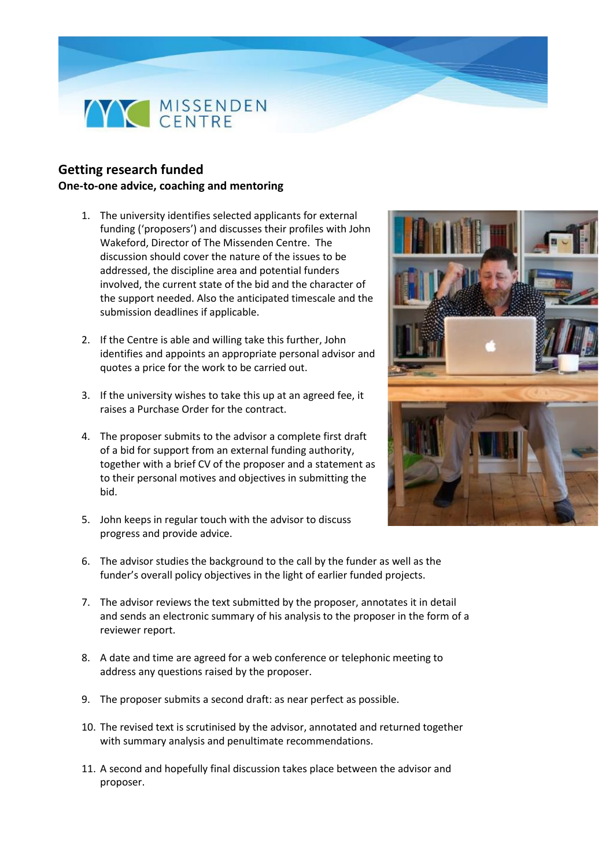

## **Getting research funded One-to-one advice, coaching and mentoring**

- 1. The university identifies selected applicants for external funding ('proposers') and discusses their profiles with John Wakeford, Director of The Missenden Centre. The discussion should cover the nature of the issues to be addressed, the discipline area and potential funders involved, the current state of the bid and the character of the support needed. Also the anticipated timescale and the submission deadlines if applicable.
- 2. If the Centre is able and willing take this further, John identifies and appoints an appropriate personal advisor and quotes a price for the work to be carried out.
- 3. If the university wishes to take this up at an agreed fee, it raises a Purchase Order for the contract.
- 4. The proposer submits to the advisor a complete first draft of a bid for support from an external funding authority, together with a brief CV of the proposer and a statement as to their personal motives and objectives in submitting the bid.
- 5. John keeps in regular touch with the advisor to discuss progress and provide advice.
- 6. The advisor studies the background to the call by the funder as well as the funder's overall policy objectives in the light of earlier funded projects.
- 7. The advisor reviews the text submitted by the proposer, annotates it in detail and sends an electronic summary of his analysis to the proposer in the form of a reviewer report.
- 8. A date and time are agreed for a web conference or telephonic meeting to address any questions raised by the proposer.
- 9. The proposer submits a second draft: as near perfect as possible.
- 10. The revised text is scrutinised by the advisor, annotated and returned together with summary analysis and penultimate recommendations.
- 11. A second and hopefully final discussion takes place between the advisor and proposer.